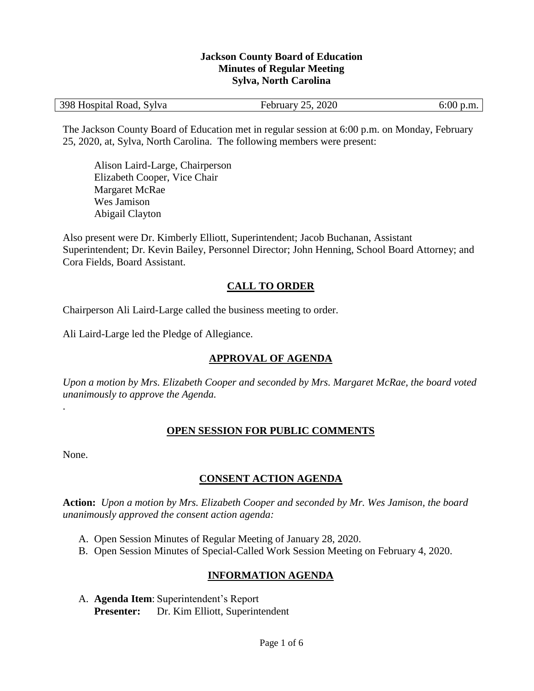#### **Jackson County Board of Education Minutes of Regular Meeting Sylva, North Carolina**

The Jackson County Board of Education met in regular session at 6:00 p.m. on Monday, February 25, 2020, at, Sylva, North Carolina. The following members were present:

Alison Laird-Large, Chairperson Elizabeth Cooper, Vice Chair Margaret McRae Wes Jamison Abigail Clayton

Also present were Dr. Kimberly Elliott, Superintendent; Jacob Buchanan, Assistant Superintendent; Dr. Kevin Bailey, Personnel Director; John Henning, School Board Attorney; and Cora Fields, Board Assistant.

#### **CALL TO ORDER**

Chairperson Ali Laird-Large called the business meeting to order.

Ali Laird-Large led the Pledge of Allegiance.

## **APPROVAL OF AGENDA**

*Upon a motion by Mrs. Elizabeth Cooper and seconded by Mrs. Margaret McRae, the board voted unanimously to approve the Agenda.*

#### **OPEN SESSION FOR PUBLIC COMMENTS**

None.

.

## **CONSENT ACTION AGENDA**

**Action:** *Upon a motion by Mrs. Elizabeth Cooper and seconded by Mr. Wes Jamison, the board unanimously approved the consent action agenda:*

- A. Open Session Minutes of Regular Meeting of January 28, 2020.
- B. Open Session Minutes of Special-Called Work Session Meeting on February 4, 2020.

## **INFORMATION AGENDA**

A. **Agenda Item**: Superintendent's Report **Presenter:** Dr. Kim Elliott, Superintendent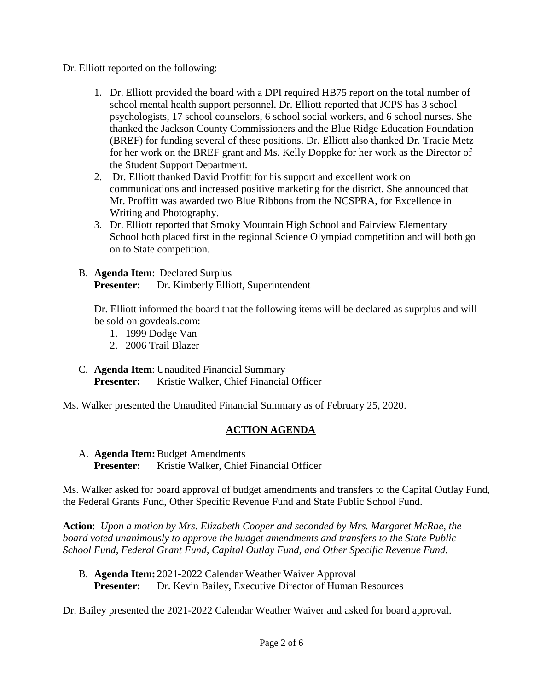- Dr. Elliott reported on the following:
	- 1. Dr. Elliott provided the board with a DPI required HB75 report on the total number of school mental health support personnel. Dr. Elliott reported that JCPS has 3 school psychologists, 17 school counselors, 6 school social workers, and 6 school nurses. She thanked the Jackson County Commissioners and the Blue Ridge Education Foundation (BREF) for funding several of these positions. Dr. Elliott also thanked Dr. Tracie Metz for her work on the BREF grant and Ms. Kelly Doppke for her work as the Director of the Student Support Department.
	- 2. Dr. Elliott thanked David Proffitt for his support and excellent work on communications and increased positive marketing for the district. She announced that Mr. Proffitt was awarded two Blue Ribbons from the NCSPRA, for Excellence in Writing and Photography.
	- 3. Dr. Elliott reported that Smoky Mountain High School and Fairview Elementary School both placed first in the regional Science Olympiad competition and will both go on to State competition.
	- B. **Agenda Item**: Declared Surplus **Presenter:** Dr. Kimberly Elliott, Superintendent

Dr. Elliott informed the board that the following items will be declared as suprplus and will be sold on govdeals.com:

- 1. 1999 Dodge Van
- 2. 2006 Trail Blazer
- C. **Agenda Item**: Unaudited Financial Summary **Presenter:** Kristie Walker, Chief Financial Officer

Ms. Walker presented the Unaudited Financial Summary as of February 25, 2020.

## **ACTION AGENDA**

A. **Agenda Item:**Budget Amendments Presenter: Kristie Walker, Chief Financial Officer

Ms. Walker asked for board approval of budget amendments and transfers to the Capital Outlay Fund, the Federal Grants Fund, Other Specific Revenue Fund and State Public School Fund.

**Action**: *Upon a motion by Mrs. Elizabeth Cooper and seconded by Mrs. Margaret McRae, the board voted unanimously to approve the budget amendments and transfers to the State Public School Fund, Federal Grant Fund, Capital Outlay Fund, and Other Specific Revenue Fund.*

B. **Agenda Item:** 2021-2022 Calendar Weather Waiver Approval **Presenter:** Dr. Kevin Bailey, Executive Director of Human Resources

Dr. Bailey presented the 2021-2022 Calendar Weather Waiver and asked for board approval.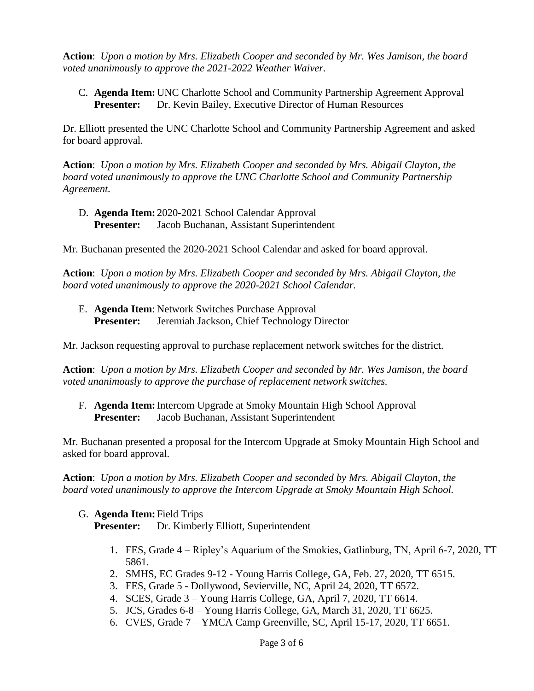**Action**: *Upon a motion by Mrs. Elizabeth Cooper and seconded by Mr. Wes Jamison, the board voted unanimously to approve the 2021-2022 Weather Waiver.*

C. **Agenda Item:** UNC Charlotte School and Community Partnership Agreement Approval **Presenter:** Dr. Kevin Bailey, Executive Director of Human Resources

Dr. Elliott presented the UNC Charlotte School and Community Partnership Agreement and asked for board approval.

**Action**: *Upon a motion by Mrs. Elizabeth Cooper and seconded by Mrs. Abigail Clayton, the board voted unanimously to approve the UNC Charlotte School and Community Partnership Agreement.*

D. **Agenda Item:** 2020-2021 School Calendar Approval **Presenter:** Jacob Buchanan, Assistant Superintendent

Mr. Buchanan presented the 2020-2021 School Calendar and asked for board approval.

**Action**: *Upon a motion by Mrs. Elizabeth Cooper and seconded by Mrs. Abigail Clayton, the board voted unanimously to approve the 2020-2021 School Calendar.*

E. **Agenda Item**: Network Switches Purchase Approval Presenter: Jeremiah Jackson, Chief Technology Director

Mr. Jackson requesting approval to purchase replacement network switches for the district.

**Action**: *Upon a motion by Mrs. Elizabeth Cooper and seconded by Mr. Wes Jamison, the board voted unanimously to approve the purchase of replacement network switches.*

F. **Agenda Item:**Intercom Upgrade at Smoky Mountain High School Approval **Presenter:** Jacob Buchanan, Assistant Superintendent

Mr. Buchanan presented a proposal for the Intercom Upgrade at Smoky Mountain High School and asked for board approval.

**Action**: *Upon a motion by Mrs. Elizabeth Cooper and seconded by Mrs. Abigail Clayton, the board voted unanimously to approve the Intercom Upgrade at Smoky Mountain High School.*

#### G. **Agenda Item:** Field Trips **Presenter:** Dr. Kimberly Elliott, Superintendent

- 1. FES, Grade 4 Ripley's Aquarium of the Smokies, Gatlinburg, TN, April 6-7, 2020, TT 5861.
- 2. SMHS, EC Grades 9-12 Young Harris College, GA, Feb. 27, 2020, TT 6515.
- 3. FES, Grade 5 Dollywood, Sevierville, NC, April 24, 2020, TT 6572.
- 4. SCES, Grade 3 Young Harris College, GA, April 7, 2020, TT 6614.
- 5. JCS, Grades 6-8 Young Harris College, GA, March 31, 2020, TT 6625.
- 6. CVES, Grade 7 YMCA Camp Greenville, SC, April 15-17, 2020, TT 6651.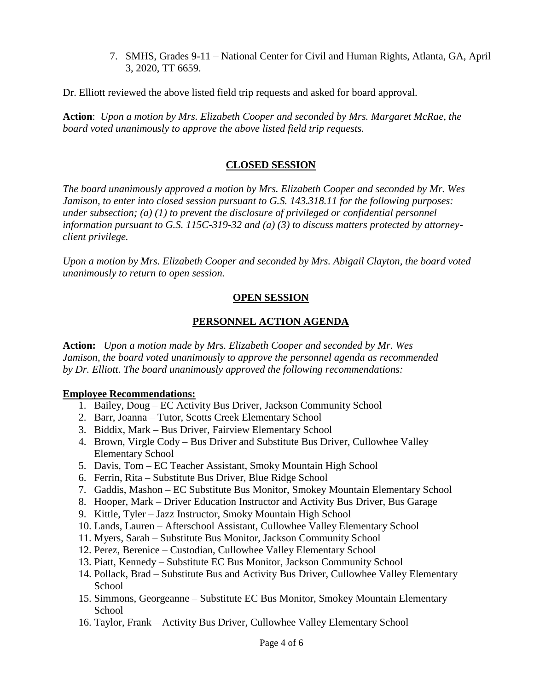7. SMHS, Grades 9-11 – National Center for Civil and Human Rights, Atlanta, GA, April 3, 2020, TT 6659.

Dr. Elliott reviewed the above listed field trip requests and asked for board approval.

**Action**: *Upon a motion by Mrs. Elizabeth Cooper and seconded by Mrs. Margaret McRae, the board voted unanimously to approve the above listed field trip requests.*

#### **CLOSED SESSION**

*The board unanimously approved a motion by Mrs. Elizabeth Cooper and seconded by Mr. Wes Jamison, to enter into closed session pursuant to G.S. 143.318.11 for the following purposes: under subsection; (a) (1) to prevent the disclosure of privileged or confidential personnel information pursuant to G.S. 115C-319-32 and (a) (3) to discuss matters protected by attorneyclient privilege.* 

*Upon a motion by Mrs. Elizabeth Cooper and seconded by Mrs. Abigail Clayton, the board voted unanimously to return to open session.*

#### **OPEN SESSION**

#### **PERSONNEL ACTION AGENDA**

**Action:** *Upon a motion made by Mrs. Elizabeth Cooper and seconded by Mr. Wes Jamison, the board voted unanimously to approve the personnel agenda as recommended by Dr. Elliott. The board unanimously approved the following recommendations:*

#### **Employee Recommendations:**

- 1. Bailey, Doug EC Activity Bus Driver, Jackson Community School
- 2. Barr, Joanna Tutor, Scotts Creek Elementary School
- 3. Biddix, Mark Bus Driver, Fairview Elementary School
- 4. Brown, Virgle Cody Bus Driver and Substitute Bus Driver, Cullowhee Valley Elementary School
- 5. Davis, Tom EC Teacher Assistant, Smoky Mountain High School
- 6. Ferrin, Rita Substitute Bus Driver, Blue Ridge School
- 7. Gaddis, Mashon EC Substitute Bus Monitor, Smokey Mountain Elementary School
- 8. Hooper, Mark Driver Education Instructor and Activity Bus Driver, Bus Garage
- 9. Kittle, Tyler Jazz Instructor, Smoky Mountain High School
- 10. Lands, Lauren Afterschool Assistant, Cullowhee Valley Elementary School
- 11. Myers, Sarah Substitute Bus Monitor, Jackson Community School
- 12. Perez, Berenice Custodian, Cullowhee Valley Elementary School
- 13. Piatt, Kennedy Substitute EC Bus Monitor, Jackson Community School
- 14. Pollack, Brad Substitute Bus and Activity Bus Driver, Cullowhee Valley Elementary School
- 15. Simmons, Georgeanne Substitute EC Bus Monitor, Smokey Mountain Elementary School
- 16. Taylor, Frank Activity Bus Driver, Cullowhee Valley Elementary School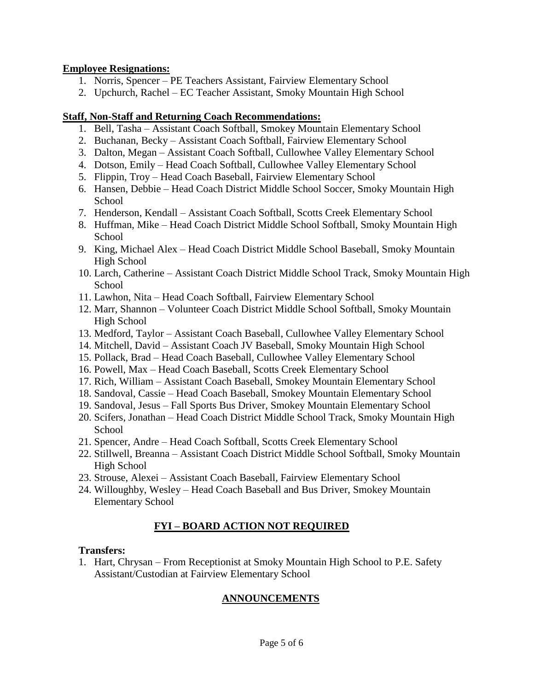#### **Employee Resignations:**

- 1. Norris, Spencer PE Teachers Assistant, Fairview Elementary School
- 2. Upchurch, Rachel EC Teacher Assistant, Smoky Mountain High School

## **Staff, Non-Staff and Returning Coach Recommendations:**

- 1. Bell, Tasha Assistant Coach Softball, Smokey Mountain Elementary School
- 2. Buchanan, Becky Assistant Coach Softball, Fairview Elementary School
- 3. Dalton, Megan Assistant Coach Softball, Cullowhee Valley Elementary School
- 4. Dotson, Emily Head Coach Softball, Cullowhee Valley Elementary School
- 5. Flippin, Troy Head Coach Baseball, Fairview Elementary School
- 6. Hansen, Debbie Head Coach District Middle School Soccer, Smoky Mountain High **School**
- 7. Henderson, Kendall Assistant Coach Softball, Scotts Creek Elementary School
- 8. Huffman, Mike Head Coach District Middle School Softball, Smoky Mountain High **School**
- 9. King, Michael Alex Head Coach District Middle School Baseball, Smoky Mountain High School
- 10. Larch, Catherine Assistant Coach District Middle School Track, Smoky Mountain High **School**
- 11. Lawhon, Nita Head Coach Softball, Fairview Elementary School
- 12. Marr, Shannon Volunteer Coach District Middle School Softball, Smoky Mountain High School
- 13. Medford, Taylor Assistant Coach Baseball, Cullowhee Valley Elementary School
- 14. Mitchell, David Assistant Coach JV Baseball, Smoky Mountain High School
- 15. Pollack, Brad Head Coach Baseball, Cullowhee Valley Elementary School
- 16. Powell, Max Head Coach Baseball, Scotts Creek Elementary School
- 17. Rich, William Assistant Coach Baseball, Smokey Mountain Elementary School
- 18. Sandoval, Cassie Head Coach Baseball, Smokey Mountain Elementary School
- 19. Sandoval, Jesus Fall Sports Bus Driver, Smokey Mountain Elementary School
- 20. Scifers, Jonathan Head Coach District Middle School Track, Smoky Mountain High School
- 21. Spencer, Andre Head Coach Softball, Scotts Creek Elementary School
- 22. Stillwell, Breanna Assistant Coach District Middle School Softball, Smoky Mountain High School
- 23. Strouse, Alexei Assistant Coach Baseball, Fairview Elementary School
- 24. Willoughby, Wesley Head Coach Baseball and Bus Driver, Smokey Mountain Elementary School

# **FYI – BOARD ACTION NOT REQUIRED**

## **Transfers:**

1. Hart, Chrysan – From Receptionist at Smoky Mountain High School to P.E. Safety Assistant/Custodian at Fairview Elementary School

# **ANNOUNCEMENTS**